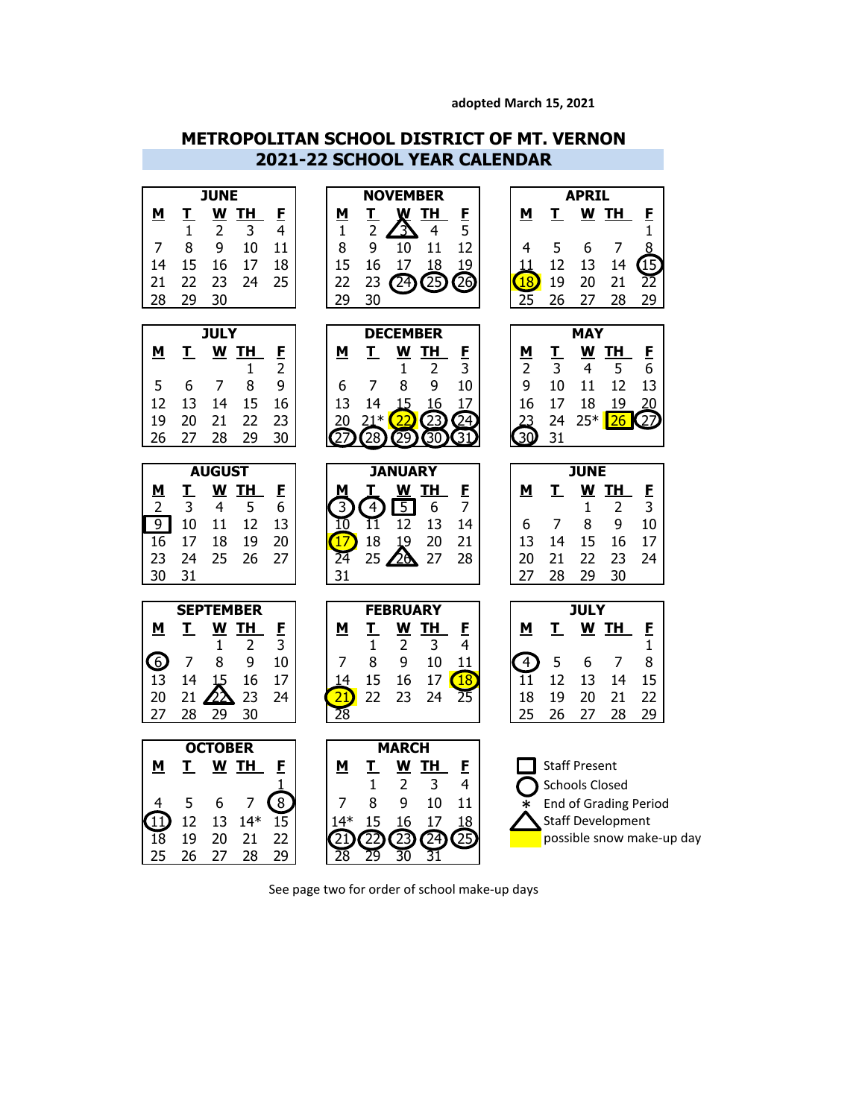#### **adopted March 15, 2021**

## **METROPOLITAN SCHOOL DISTRICT OF MT. VERNON 2021-22 SCHOOL YEAR CALENDAR**



See page two for order of school make-up days